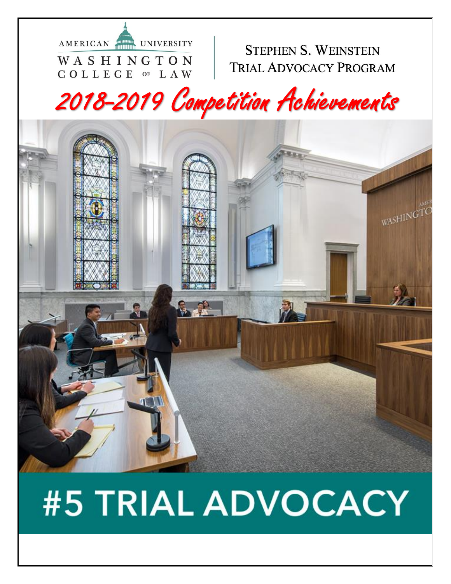

### **STEPHEN S. WEINSTEIN TRIAL ADVOCACY PROGRAM**

# 2018-2019 Competition Achievements



# #5 TRIAL ADVOCACY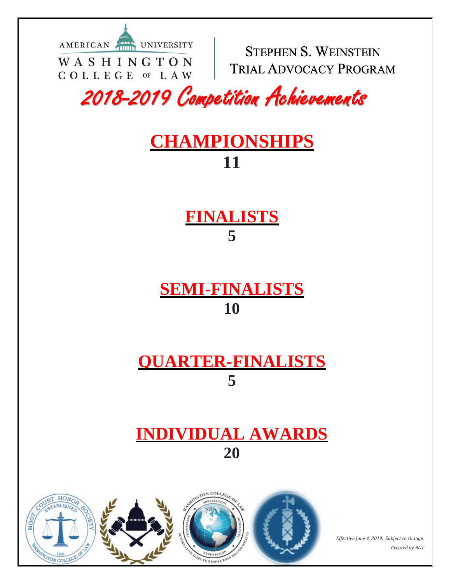AMERICAN UNIVERSITY WASHINGTON COLLEGE OF LAW

**STEPHEN S. WEINSTEIN TRIAL ADVOCACY PROGRAM** 

2018-2019 Competition Achievements

## **CHAMPIONSHIPS 11**

**FINALISTS 5**

**SEMI-FINALISTS 10**

## **QUARTER-FINALISTS 5**

## **INDIVIDUAL AWARDS 20**



*Effective June 4, 2019. Subject to change. Created by BGT*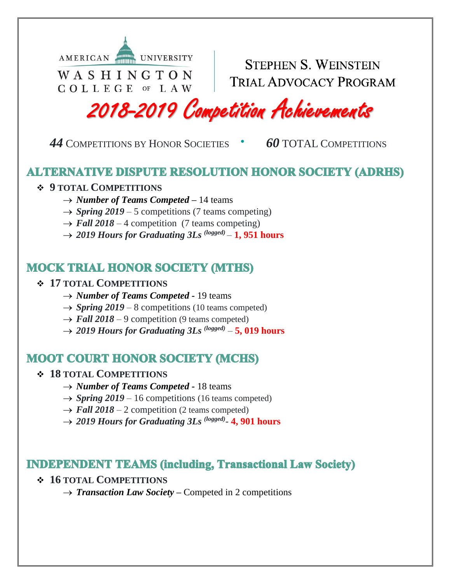

COLLEGE OF LAW

**STEPHEN S. WEINSTEIN TRIAL ADVOCACY PROGRAM** 

2018-2019 Competition Achievements

 *44* <sup>C</sup>OMPETITIONS BY HONOR SOCIETIES **·** *60* TOTAL <sup>C</sup>OMPETITIONS

#### **ALTERNATIVE DISPUTE RESOLUTION HONOR SOCIETY (ADRHS)**

#### **9 TOTAL COMPETITIONS**

- → *Number of Teams Competed* 14 teams
- $\rightarrow$  *Spring 2019* 5 competitions (7 teams competing)
- $\rightarrow$  Fall 2018 4 competition (7 teams competing)
- $\rightarrow$  2019 Hours for Graduating 3Ls  $^{(logged)} 1$ , 951 hours

#### **MOCK TRIAL HONOR SOCIETY (MTHS)**

#### **17 TOTAL COMPETITIONS**

- → *Number of Teams Competed* 19 teams
- $\rightarrow$  *Spring 2019* 8 competitions (10 teams competed)
- $\rightarrow$  *Fall 2018* 9 competition (9 teams competed)
- $\rightarrow$  2019 Hours for Graduating 3Ls  $^{(logged)} 5$ , 019 hours

#### **MOOT COURT HONOR SOCIETY (MCHS)**

#### **18 TOTAL COMPETITIONS**

- → *Number of Teams Competed* 18 teams
- $\rightarrow$  *Spring 2019* 16 competitions (16 teams competed)
- $\rightarrow$  *Fall 2018* 2 competition (2 teams competed)
- → 2019 Hours for Graduating 3Ls<sup>(logged)</sup>- 4, 901 hours

#### **INDEPENDENT TEAMS (including, Transactional Law Society)**

- **16 TOTAL COMPETITIONS**
	- → *Transaction Law Society* Competed in 2 competitions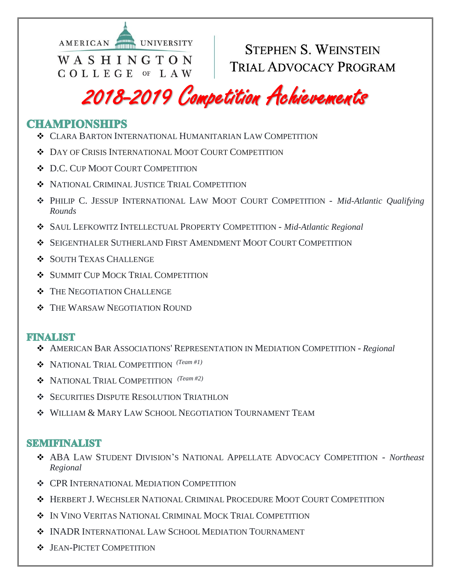

**STEPHEN S. WEINSTEIN TRIAL ADVOCACY PROGRAM** 

## 2018-2019 Competition Achievements

#### **CHAMPIONSHIPS**

- CLARA BARTON INTERNATIONAL HUMANITARIAN LAW COMPETITION
- DAY OF CRISIS INTERNATIONAL MOOT COURT COMPETITION
- $\bullet$  D.C. CUP MOOT COURT COMPETITION
- $\bullet$  NATIONAL CRIMINAL JUSTICE TRIAL COMPETITION
- PHILIP C. JESSUP INTERNATIONAL LAW MOOT COURT COMPETITION *Mid-Atlantic Qualifying Rounds*
- SAUL LEFKOWITZ INTELLECTUAL PROPERTY COMPETITION *Mid-Atlantic Regional*
- SEIGENTHALER SUTHERLAND FIRST AMENDMENT MOOT COURT COMPETITION
- SOUTH TEXAS CHALLENGE
- SUMMIT CUP MOCK TRIAL COMPETITION
- $\div$  THE NEGOTIATION CHALLENGE
- $\div$  THE WARSAW NEGOTIATION ROUND

#### **FINALIST**

- AMERICAN BAR ASSOCIATIONS' REPRESENTATION IN MEDIATION COMPETITION *Regional*
- NATIONAL TRIAL COMPETITION *(Team #1)*
- NATIONAL TRIAL COMPETITION *(Team #2)*
- **SECURITIES DISPUTE RESOLUTION TRIATHLON**
- WILLIAM & MARY LAW SCHOOL NEGOTIATION TOURNAMENT TEAM

#### **SEMIFINALIST**

- ABA LAW STUDENT DIVISION'S NATIONAL APPELLATE ADVOCACY COMPETITION *Northeast Regional*
- $\div$  **CPR INTERNATIONAL MEDIATION COMPETITION**
- HERBERT J. WECHSLER NATIONAL CRIMINAL PROCEDURE MOOT COURT COMPETITION
- $\div$  In Vino Veritas National Criminal Mock Trial Competition
- INADR INTERNATIONAL LAW SCHOOL MEDIATION TOURNAMENT
- $\div$  JEAN-PICTET COMPETITION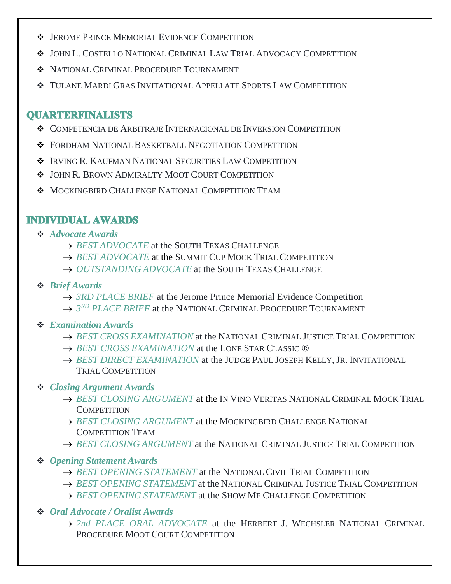- $\cdot$  JEROME PRINCE MEMORIAL EVIDENCE COMPETITION
- JOHN L. COSTELLO NATIONAL CRIMINAL LAW TRIAL ADVOCACY COMPETITION
- NATIONAL CRIMINAL PROCEDURE TOURNAMENT
- TULANE MARDI GRAS INVITATIONAL APPELLATE SPORTS LAW COMPETITION

#### **OUARTERFINALISTS**

- COMPETENCIA DE ARBITRAJE INTERNACIONAL DE INVERSION COMPETITION
- FORDHAM NATIONAL BASKETBALL NEGOTIATION COMPETITION
- IRVING R. KAUFMAN NATIONAL SECURITIES LAW COMPETITION
- $\cdot$  JOHN R. BROWN ADMIRALTY MOOT COURT COMPETITION
- $\lozenge$  MOCKINGBIRD CHALLENGE NATIONAL COMPETITION TEAM

#### **INDIVIDUAL AWARDS**

- *Advocate Awards* 
	- → *BEST ADVOCATE* at the SOUTH TEXAS CHALLENGE
	- → *BEST ADVOCATE* at the SUMMIT CUP MOCK TRIAL COMPETITION
	- → *OUTSTANDING ADVOCATE* at the SOUTH TEXAS CHALLENGE

#### *Brief Awards*

- → *3RD PLACE BRIEF* at the Jerome Prince Memorial Evidence Competition
- → 3<sup>RD</sup> PLACE BRIEF at the NATIONAL CRIMINAL PROCEDURE TOURNAMENT
- *Examination Awards* 
	- *BEST CROSS EXAMINATION* at the NATIONAL CRIMINAL JUSTICE TRIAL COMPETITION
	- → *BEST CROSS EXAMINATION* at the LONE STAR CLASSIC ®
	- → *BEST DIRECT EXAMINATION* at the JUDGE PAUL JOSEPH KELLY, JR. INVITATIONAL TRIAL COMPETITION

#### *Closing Argument Awards*

- $\rightarrow$  BEST CLOSING ARGUMENT at the IN VINO VERITAS NATIONAL CRIMINAL MOCK TRIAL **COMPETITION**
- $\rightarrow$  BEST CLOSING ARGUMENT at the MOCKINGBIRD CHALLENGE NATIONAL COMPETITION TEAM
- *BEST CLOSING ARGUMENT* at the NATIONAL CRIMINAL JUSTICE TRIAL COMPETITION
- *Opening Statement Awards* 
	- $\rightarrow$  BEST OPENING STATEMENT at the NATIONAL CIVIL TRIAL COMPETITION
	- *BEST OPENING STATEMENT* at the NATIONAL CRIMINAL JUSTICE TRIAL COMPETITION
	- $\rightarrow$  *BEST OPENING STATEMENT* at the SHOW ME CHALLENGE COMPETITION
- *Oral Advocate / Oralist Awards* 
	- *2nd PLACE ORAL ADVOCATE* at the HERBERT J. WECHSLER NATIONAL CRIMINAL PROCEDURE MOOT COURT COMPETITION